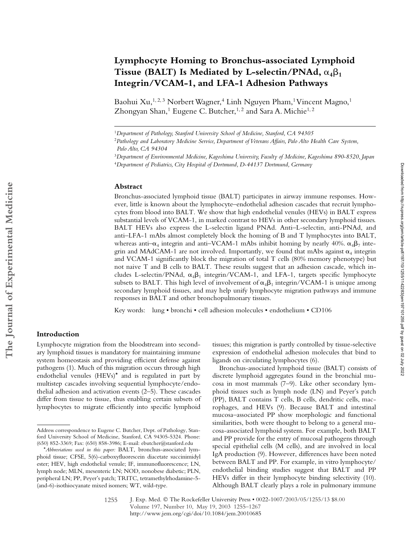# **Lymphocyte Homing to Bronchus-associated Lymphoid**  Tissue (BALT) Is Mediated by L-selectin/PNAd,  $\alpha_4 \beta_1$ **Integrin/VCAM-1, and LFA-1 Adhesion Pathways**

Baohui Xu,<sup>1, 2, 3</sup> Norbert Wagner,<sup>4</sup> Linh Nguyen Pham,<sup>1</sup> Vincent Magno,<sup>1</sup> Zhongyan Shan,<sup>1</sup> Eugene C. Butcher,<sup>1,2</sup> and Sara A. Michie<sup>1,2</sup>

### **Abstract**

Bronchus-associated lymphoid tissue (BALT) participates in airway immune responses. However, little is known about the lymphocyte–endothelial adhesion cascades that recruit lymphocytes from blood into BALT. We show that high endothelial venules (HEVs) in BALT express substantial levels of VCAM-1, in marked contrast to HEVs in other secondary lymphoid tissues. BALT HEVs also express the L-selectin ligand PNAd. Anti–L-selectin, anti-PNAd, and anti–LFA-1 mAbs almost completely block the homing of B and T lymphocytes into BALT, whereas anti– $\alpha_4$  integrin and anti–VCAM-1 mAbs inhibit homing by nearly 40%.  $\alpha_4\beta_7$  integrin and MAdCAM-1 are not involved. Importantly, we found that mAbs against  $\alpha_4$  integrin and VCAM-1 significantly block the migration of total T cells (80% memory phenotype) but not naive T and B cells to BALT. These results suggest that an adhesion cascade, which includes L-selectin/PNAd,  $\alpha_4\beta_1$  integrin/VCAM-1, and LFA-1, targets specific lymphocyte subsets to BALT. This high level of involvement of  $\alpha_4\beta_1$  integrin/VCAM-1 is unique among secondary lymphoid tissues, and may help unify lymphocyte migration pathways and immune responses in BALT and other bronchopulmonary tissues.

Key words: lung • bronchi • cell adhesion molecules • endothelium • CD106

# **Introduction**

Lymphocyte migration from the bloodstream into secondary lymphoid tissues is mandatory for maintaining immune system homeostasis and providing efficient defense against pathogens (1). Much of this migration occurs through high endothelial venules (HEVs)\* and is regulated in part by multistep cascades involving sequential lymphocyte/endothelial adhesion and activation events (2–5). These cascades differ from tissue to tissue, thus enabling certain subsets of lymphocytes to migrate efficiently into specific lymphoid

tissues; this migration is partly controlled by tissue-selective expression of endothelial adhesion molecules that bind to ligands on circulating lymphocytes (6).

Bronchus-associated lymphoid tissue (BALT) consists of discrete lymphoid aggregates found in the bronchial mucosa in most mammals (7–9). Like other secondary lymphoid tissues such as lymph node (LN) and Peyer's patch (PP), BALT contains T cells, B cells, dendritic cells, macrophages, and HEVs (9). Because BALT and intestinal mucosa–associated PP show morphologic and functional similarities, both were thought to belong to a general mucosa-associated lymphoid system. For example, both BALT and PP provide for the entry of mucosal pathogens through special epithelial cells (M cells), and are involved in local IgA production (9). However, differences have been noted between BALT and PP. For example, in vitro lymphocyte/ endothelial binding studies suggest that BALT and PP HEVs differ in their lymphocyte binding selectivity (10). Although BALT clearly plays a role in pulmonary immune

<sup>1</sup>*Department of Pathology, Stanford University School of Medicine, Stanford, CA 94305*

<sup>2</sup>*Pathology and Laboratory Medicine Service, Department of Veterans Affairs, Palo Alto Health Care System, Palo Alto, CA 94304* 

<sup>3</sup>*Department of Environmental Medicine, Kagoshima University, Faculty of Medicine, Kagoshima 890-8520, Japan*

<sup>4</sup>*Department of Pediatrics, City Hospital of Dortmund, D-44137 Dortmund, Germany*

Address correspondence to Eugene C. Butcher, Dept. of Pathology, Stanford University School of Medicine, Stanford, CA 94305-5324. Phone: (650) 852-3369; Fax: (650) 858-3986; E-mail: ebutcher@stanford.edu

<sup>\*</sup>*Abbreviations used in this paper:* BALT, bronchus-associated lymphoid tissue; CFSE, 5(6)-carboxyfluorescein diacetate succinimidyl ester; HEV, high endothelial venule; IF, immunofluorescence; LN, lymph node; MLN, mesenteric LN; NOD, nonobese diabetic; PLN, peripheral LN; PP, Peyer's patch; TRITC, tetramethylrhodamine-5- (and-6)-isothiocyanate mixed isomers; WT, wild-type.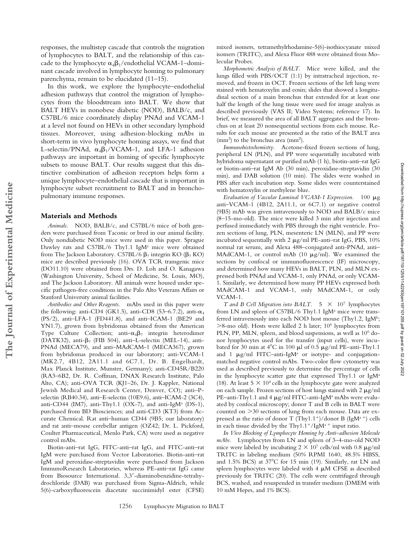responses, the multistep cascade that controls the migration of lymphocytes to BALT, and the relationship of this cascade to the lymphocyte  $\alpha_4\beta_1$ /endothelial VCAM-1–dominant cascade involved in lymphocyte homing to pulmonary parenchyma, remain to be elucidated (11–15).

In this work, we explore the lymphocyte–endothelial adhesion pathways that control the migration of lymphocytes from the bloodstream into BALT. We show that BALT HEVs in nonobese diabetic (NOD), BALB/c, and C57BL/6 mice coordinately display PNAd and VCAM-1 at a level not found on HEVs in other secondary lymphoid tissues. Moreover, using adhesion-blocking mAbs in short-term in vivo lymphocyte homing assays, we find that L-selectin/PNAd,  $\alpha_4\beta_1/VCAM-1$ , and LFA-1 adhesion pathways are important in homing of specific lymphocyte subsets to mouse BALT. Our results suggest that this distinctive combination of adhesion receptors helps form a unique lymphocyte–endothelial cascade that is important in lymphocyte subset recruitment to BALT and in bronchopulmonary immune responses.

## **Materials and Methods**

*Animals.* NOD, BALB/c, and C57BL/6 mice of both genders were purchased from Taconic or bred in our animal facility. Only nondiabetic NOD mice were used in this paper. Sprague Dawley rats and C57BL/6 Thy1.1 IgM<sup>a</sup> mice were obtained from The Jackson Laboratory. C57BL/6  $\beta$ <sub>7</sub> integrin KO ( $\beta$ <sub>7</sub> KO) mice are described previously (16). OVA TCR transgenic mice (DO11.10) were obtained from Drs. D. Loh and O. Kanagawa (Washington University, School of Medicine, St. Louis, MO), and The Jackson Laboratory. All animals were housed under specific pathogen-free conditions in the Palo Alto Veterans Affairs or Stanford University animal facilities.

*Antibodies and Other Reagents.* mAbs used in this paper were the following: anti-CD4 (GK1.5), anti-CD8 (53–6.7.2), anti- $\alpha_4$ (PS/2), anti–LFA-1 (FD441.8), and anti–ICAM-1 (BE29 and YN1.7), grown from hybridomas obtained from the American Type Culture Collection; anti $-\alpha_4\beta_7$  integrin heterodimer (DATK32), anti- $\beta$ <sub>7</sub> (FIB 504), anti-L-selectin (MEL-14), anti-PNAd (MECA79), and anti–MAdCAM-1 (MECA367), grown from hybridomas produced in our laboratory; anti-VCAM-1 (MK2.7, 4B12, 2A11.1 and 6C7.1, Dr. B. Engelhardt, Max Planck Institute, Munster, Germany); anti-CD45R/B220 (RA3–6B2, Dr. R. Coffman, DNAX Research Institute, Palo Alto, CA); anti-OVA TCR (KJ1–26, Dr. J. Kappler, National Jewish Medical and Research Center, Denver, CO); anti–Pselectin (RB40.34), anti–E-selectin (10E9.6), anti–ICAM-2 (3C4), anti-CD44 (IM7), anti-Thy1.1 (OX-7), and anti-IgM<sup>a</sup> (DS-1), purchased from BD Biosciences; and anti-CD3 (KT3) from Accurate Chemical. Rat anti–human CD44 (9B5; our laboratory) and rat anti–mouse cerebellar antigen (OZ42; Dr. L. Pickford, Coulter Pharmaceutical, Menlo Park, CA) were used as negative control mAbs.

Biotin-anti–rat IgG, FITC-anti–rat IgG, and FITC-anti–rat IgM were purchased from Vector Laboratories. Biotin-anti–rat IgM and peroxidase-streptavidin were purchased from Jackson ImmunoResearch Laboratories, whereas PE-anti–rat IgG came from Biosource International. 3,3-diaminobenzidine-tetrahydrochloride (DAB) was purchased from Sigma-Aldrich, while 5(6)-carboxyfluorescein diacetate succinimidyl ester (CFSE)

mixed isomers, tetramethylrhodamine-5(6)-isothiocyanate mixed isomers (TRITC), and Alexa Fluor 488 were obtained from Molecular Probes.

*Morphometric Analysis of BALT.* Mice were killed, and the lungs filled with PBS/OCT (1:1) by intratracheal injection, removed, and frozen in OCT. Frozen sections of the left lung were stained with hematoxylin and eosin; slides that showed a longitudinal section of a main bronchus that extended for at least one half the length of the lung tissue were used for image analysis as described previously (VAS II; Video Systems; reference 17). In brief, we measured the area of all BALT aggregates and the bronchus on at least 20 nonsequential sections from each mouse. Results for each mouse are presented as the ratio of the BALT area (mm2) to the bronchus area (mm2).

*Immunohistochemistry.* Acetone-fixed frozen sections of lung, peripheral LN (PLN), and PP were sequentially incubated with hybridoma supernatant or purified mAb (1 h), biotin-anti–rat IgG or biotin-anti–rat IgM Ab (30 min), peroxidase-streptavidin (30 min), and DAB solution (10 min). The slides were washed in PBS after each incubation step. Some slides were counterstained with hematoxylin or methylene blue.

Evaluation of Vascular Luminal VCAM-1 Expression. 100  $\mu$ g anti–VCAM-1 (4B12, 2A11.1, or 6C7.1) or negative control (9B5) mAb was given intravenously to NOD and BALB/c mice (8–15-mo-old). The mice were killed 3 min after injection and perfused immediately with PBS through the right ventricle. Frozen sections of lung, PLN, mesenteric LN (MLN), and PP were incubated sequentially with 2  $\mu$ g/ml PE-anti-rat IgG, PBS, 10% normal rat serum, and Alexa 488–conjugated anti-PNAd, anti– MAdCAM-1, or control mAb (10  $\mu$ g/ml). We examined the sections by confocal or immunofluorescence (IF) microscopy, and determined how many HEVs in BALT, PLN, and MLN expressed both PNAd and VCAM-1, only PNAd, or only VCAM-1. Similarly, we determined how many PP HEVs expressed both MAdCAM-1 and VCAM-1, only MAdCAM-1, or only VCAM-1.

Downloaded from http://rupress.org/jem/article-pdf/197/10/1255/1142283/jem197101255.pdf by guest on 02 July 2022 Downloaded from http://rupress.org/jem/article-pdf/197/10/1255/1142283/jem197101255.pdf by guest on 02 July 2022

*T* and *B* Cell Migration into BALT.  $5 \times 10^7$  lymphocytes from LN and spleen of C57BL/6 Thy1.1 IgM<sup>a</sup> mice were transferred intravenously into each NOD host mouse (Thy1.2, IgMb; 8-mo old). Hosts were killed 2 h later; 106 lymphocytes from PLN, PP, MLN, spleen, and blood suspensions, as well as 106 donor lymphocytes used for the transfer (input cells), were incubated for 30 min at  $4^{\circ}$ C in 100  $\mu$ l of 0.5  $\mu$ g/ml PE–anti-Thy1.1 and 1  $\mu$ g/ml FITC–anti-IgM<sup>a</sup> or isotype- and conjugationmatched negative control mAbs. Two-color flow cytometry was used as described previously to determine the percentage of cells in the lymphocyte scatter gate that expressed Thy1.1 or  $IgM<sup>a</sup>$ (18). At least  $5 \times 10^4$  cells in the lymphocyte gate were analyzed on each sample. Frozen sections of host lungs stained with  $2 \mu g/ml$  $PE$ –anti-Thy $1.1$  and  $4 \mu g/ml$  FITC-anti-IgMª mAbs were evaluated by confocal microscopy; donor T and B cells in BALT were counted on 30 sections of lung from each mouse. Data are expressed as the ratio of donor T (Thy1.1<sup>+</sup>)/donor B (IgM<sup>a+</sup>) cells in each tissue divided by the Thy1.1<sup>+</sup>/IgM<sup>a +</sup> input ratio.

*In Vivo Blocking of Lymphocyte Homing by Anti–adhesion Molecule mAbs.* Lymphocytes from LN and spleen of 3–4-mo-old NOD mice were labeled by incubating  $2 \times 10^7$  cells/ml with 0.8  $\mu$ g/ml TRITC in labeling medium (50% RPMI 1640, 48.5% HBSS, and  $1.5\%$  BCS) at  $37^{\circ}$ C for 15 min (19). Similarly, rat LN and spleen lymphocytes were labeled with  $4 \mu M$  CFSE as described previously for TRITC (20). The cells were centrifuged through BCS, washed, and resuspended in transfer medium (DMEM with 10 mM Hepes, and 1% BCS).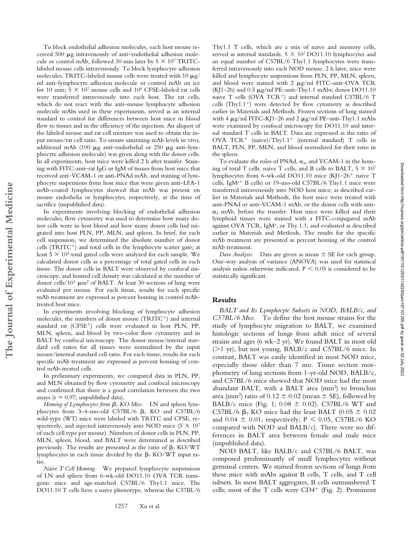To block endothelial adhesion molecules, each host mouse received 500  $\mu$ g intravenously of anti-endothelial adhesion molecule or control mAb, followed 30 min later by  $5 \times 10^7$  TRITClabeled mouse cells intravenously. To block lymphocyte adhesion molecules, TRITC-labeled mouse cells were treated with 10  $\mu$ g/ ml anti–lymphocyte adhesion molecule or control mAb on ice for 10 min;  $5 \times 10^7$  mouse cells and  $10^8$  CFSE-labeled rat cells were transferred intravenously into each host. The rat cells, which do not react with the anti–mouse lymphocyte adhesion molecule mAbs used in these experiments, served as an internal standard to control for differences between host mice in blood flow to tissues and in the efficiency of the injection. An aliquot of the labeled mouse and rat cell mixture was used to obtain the input mouse/rat cell ratio. To ensure saturating mAb levels in vivo, additional mAb (100  $\mu$ g anti-endothelial or 250  $\mu$ g anti-lymphocyte adhesion molecule) was given along with the donor cells. In all experiments, host mice were killed 2 h after transfer. Staining with FITC-anti–rat IgG or IgM of tissues from host mice that received anti–VCAM-1 or anti-PNAd mAb, and staining of lymphocyte suspensions from host mice that were given anti–LFA-1 mAb-coated lymphocytes showed that mAb was present on mouse endothelia or lymphocytes, respectively, at the time of sacrifice (unpublished data).

In experiments involving blocking of endothelial adhesion molecules, flow cytometry was used to determine how many donor cells were in host blood and how many donor cells had migrated into host PLN, PP, MLN, and spleen. In brief, for each cell suspension, we determined the absolute number of donor cells (TRITC<sup>+</sup>) and total cells in the lymphocyte scatter gate; at least  $5 \times 10^4$  total gated cells were analyzed for each sample. We calculated donor cells as a percentage of total gated cells in each tissue. The donor cells in BALT were observed by confocal microscopy, and homed cell density was calculated as the number of donor cells/10<sup>3</sup>  $\mu$ m<sup>2</sup> of BALT. At least 30 sections of lung were evaluated per mouse. For each tissue, results for each specific mAb treatment are expressed as percent homing in control mAbtreated host mice.

In experiments involving blocking of lymphocyte adhesion molecules, the numbers of donor mouse (TRITC<sup>+</sup>) and internal standard rat (CFSE<sup>+</sup>) cells were evaluated in host PLN, PP, MLN, spleen, and blood by two-color flow cytometry and in BALT by confocal microscopy. The donor mouse/internal standard cell ratios for all tissues were normalized by the input mouse/internal standard cell ratio. For each tissue, results for each specific mAb treatment are expressed as percent homing of control mAb-treated cells.

In preliminary experiments, we compared data in PLN, PP, and MLN obtained by flow cytometry and confocal microscopy and confirmed that there is a good correlation between the two assays ( $r = 0.97$ ; unpublished data).

*Homing of Lymphocytes from*  $\beta$ *<sub>7</sub> KO Mice.* LN and spleen lymphocytes from 3-4-mo-old C57BL/6  $\beta$ <sub>7</sub> KO and C57BL/6 wild-type (WT) mice were labeled with TRITC and CFSE, respectively, and injected intravenously into NOD mice  $(5 \times 10^7)$ of each cell type per mouse). Numbers of donor cells in PLN, PP, MLN, spleen, blood, and BALT were determined as described previously. The results are presented as the ratio of  $\beta$ <sub>7</sub> KO/WT lymphocytes in each tissue divided by the  $\beta$ <sub>7</sub> KO/WT input ratio.

*Naive T Cell Homing.* We prepared lymphocyte suspensions of LN and spleen from 6-wk-old DO11.10 OVA TCR transgenic mice and age-matched C57BL/6 Thy1.1 mice. The DO11.10 T cells have a naive phenotype, whereas the C57BL/6 Thy1.1 T cells, which are a mix of naive and memory cells, served as internal standards.  $5 \times 10^7$  DO11.10 lymphocytes and an equal number of C57BL/6 Thy1.1 lymphocytes were transferred intravenously into each NOD mouse. 2 h later, mice were killed and lymphocyte suspensions from PLN, PP, MLN, spleen, and blood were stained with  $2 \mu g/ml$  FITC-anti-OVA TCR (KJ1–26) and  $0.5 \mu g/ml$  PE–anti-Thy1.1 mAbs; donor DO11.10 naive T cells (OVA TCR<sup>+</sup>) and internal standard C57BL/6 T cells  $(Thy1.1<sup>+</sup>)$  were detected by flow cytometry as described earlier in Materials and Methods. Frozen sections of lung stained with 4  $\mu$ g/ml FITC-KJ1–26 and 2  $\mu$ g/ml PE–anti-Thy1.1 mAbs were examined by confocal microscopy for DO11.10 and internal standard T cells in BALT. Data are expressed as the ratio of OVA  $TCR^+$  (naive)/Thy1.1<sup>+</sup> (internal standard) T cells in BALT, PLN, PP, MLN, and blood normalized for their ratio in the spleen.

To evaluate the roles of PNAd,  $\alpha_4$ , and VCAM-1 in the homing of total T cells, naive T cells, and B cells to BALT,  $5 \times 10^7$ lymphocytes from 6-wk-old DO11.10 mice (KJ1-26<sup>+</sup> naive T cells, IgM<sup>a+</sup> B cells) or 19-mo-old C57BL/6 Thy1.1 mice were transferred intravenously into NOD host mice; as described earlier in Materials and Methods, the host mice were treated with anti-PNAd or anti–VCAM-1 mAb, or the donor cells with anti-  $\alpha_4$  mAb, before the transfer. Host mice were killed and their lymphoid tissues were stained with a FITC-conjugated mAb against OVA TCR, IgM<sup>a</sup>, or Thy 1.1, and evaluated as described earlier in Materials and Methods. The results for the specific mAb treatment are presented as percent homing of the control mAb treatment.

*Data Analysis.* Data are given as mean  $\pm$  SE for each group. One-way analysis of variance (ANOVA) was used for statistical analysis unless otherwise indicated.  $P < 0.05$  is considered to be statistically significant.

# **Results**

*BALT and Its Lymphocyte Subsets in NOD, BALB/c, and C57BL/6 Mice.* To define the best mouse strains for the study of lymphocyte migration to BALT, we examined histologic sections of lungs from adult mice of several strains and ages (6 wk–2 yr). We found BALT in most old  $(>1 \text{ yr})$ , but not young, BALB/c and C57BL/6 mice. In contrast, BALT was easily identified in most NOD mice, especially those older than 7 mo. Tissue section morphometry of lung sections from 1-yr-old NOD, BALB/c, and C57BL/6 mice showed that NOD mice had the most abundant BALT, with a BALT area (mm<sup>2</sup>) to bronchus area (mm<sup>2</sup>) ratio of  $0.12 \pm 0.02$  (mean  $\pm$  SE), followed by BALB/c mice (Fig. 1;  $0.08 \pm 0.02$ ). C57BL/6 WT and C57BL/6  $\beta$ <sub>7</sub> KO mice had the least BALT (0.05  $\pm$  0.02 and  $0.04 \pm 0.01$ , respectively; P < 0.05, C57BL/6 KO compared with NOD and BALB/c). There were no differences in BALT area between female and male mice (unpublished data).

NOD BALT, like BALB/c and C57BL/6 BALT, was composed predominantly of small lymphocytes without germinal centers. We stained frozen sections of lungs from these mice with mAbs against B cells, T cells, and T cell subsets. In most BALT aggregates, B cells outnumbered T cells; most of the T cells were  $CD4^+$  (Fig. 2). Prominent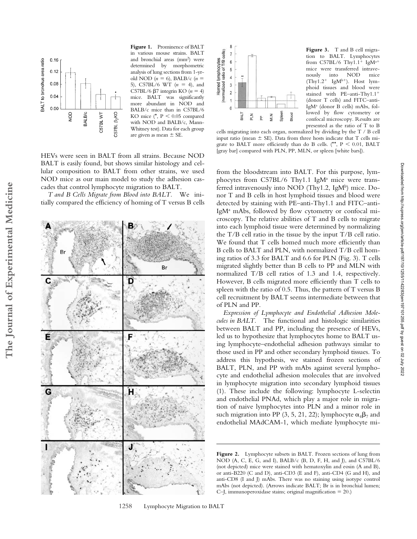

**Figure 1.** Prominence of BALT in various mouse strains. BALT and bronchial areas (mm2) were determined by morphometric analysis of lung sections from 1-yrold NOD  $(n = 6)$ , BALB/c  $(n = 6)$ 5), C57BL/6 WT  $(n = 4)$ , and C57BL/6  $\beta$ 7 integrin KO ( $n = 4$ ) mice. BALT was significantly more abundant in NOD and BALB/c mice than in C57BL/6 KO mice  $(*, P < 0.05$  compared with NOD and BALB/c, Mann-Whitney test). Data for each group are given as mean  $\pm$  SE.

HEVs were seen in BALT from all strains. Because NOD BALT is easily found, but shows similar histology and cellular composition to BALT from other strains, we used NOD mice as our main model to study the adhesion cascades that control lymphocyte migration to BALT.

*T and B Cells Migrate from Blood into BALT.* We initially compared the efficiency of homing of T versus B cells

Br D É G Ή ı



Figure 3. T and B cell migration to BALT. Lymphocytes from C57BL/6 Thy $1.1^+$  IgM<sup>a+</sup> mice were transferred intrave-<br>nously into NOD mice nously into NOD mice  $(Thy1.2<sup>+</sup> IgM<sup>b+</sup>)$ . Host lymphoid tissues and blood were stained with PE–anti-Thy1.1 (donor T cells) and FITC–anti-IgMa (donor B cells) mAbs, followed by flow cytometry or confocal microscopy. Results are presented as the ratio of T to B

cells migrating into each organ, normalized by dividing by the T / B cell input ratio (mean  $\pm$  SE). Data from three hosts indicate that T cells migrate to BALT more efficiently than do B cells. (\*\*,  $P < 0.01$ , BALT [gray bar] compared with PLN, PP, MLN, or spleen [white bars]).

from the bloodstream into BALT. For this purpose, lymphocytes from C57BL/6 Thy1.1 IgM<sup>a</sup> mice were transferred intravenously into NOD (Thy1.2, IgM<sup>b</sup>) mice. Donor T and B cells in host lymphoid tissues and blood were detected by staining with PE–anti-Thy1.1 and FITC–anti-IgM<sup>a</sup> mAbs, followed by flow cytometry or confocal microscopy. The relative abilities of T and B cells to migrate into each lymphoid tissue were determined by normalizing the T/B cell ratio in the tissue by the input T/B cell ratio. We found that T cells homed much more efficiently than B cells to BALT and PLN, with normalized T/B cell homing ratios of 3.3 for BALT and 6.6 for PLN (Fig. 3). T cells migrated slightly better than B cells to PP and MLN with normalized T/B cell ratios of 1.3 and 1.4, respectively. However, B cells migrated more efficiently than T cells to spleen with the ratio of 0.5. Thus, the pattern of T versus B cell recruitment by BALT seems intermediate between that of PLN and PP.

*Expression of Lymphocyte and Endothelial Adhesion Molecules in BALT.* The functional and histologic similarities between BALT and PP, including the presence of HEVs, led us to hypothesize that lymphocytes home to BALT using lymphocyte–endothelial adhesion pathways similar to those used in PP and other secondary lymphoid tissues. To address this hypothesis, we stained frozen sections of BALT, PLN, and PP with mAbs against several lymphocyte and endothelial adhesion molecules that are involved in lymphocyte migration into secondary lymphoid tissues (1). These include the following: lymphocyte L-selectin and endothelial PNAd, which play a major role in migration of naive lymphocytes into PLN and a minor role in such migration into PP (3, 5, 21, 22); lymphocyte  $\alpha_4\beta_7$  and endothelial MAdCAM-1, which mediate lymphocyte mi-

Figure 2. Lymphocyte subsets in BALT. Frozen sections of lung from NOD (A, C, E, G, and I), BALB/c (B, D, F, H, and J), and C57BL/6 (not depicted) mice were stained with hematoxylin and eosin (A and B), or anti-B220 (C and D), anti-CD3 (E and F), anti-CD4 (G and H), and anti-CD8 (I and J) mAbs. There was no staining using isotype control mAbs (not depicted). (Arrows indicate BALT; Br is in bronchial lumen; C–J, immunoperoxidase stains; original magnification 20.)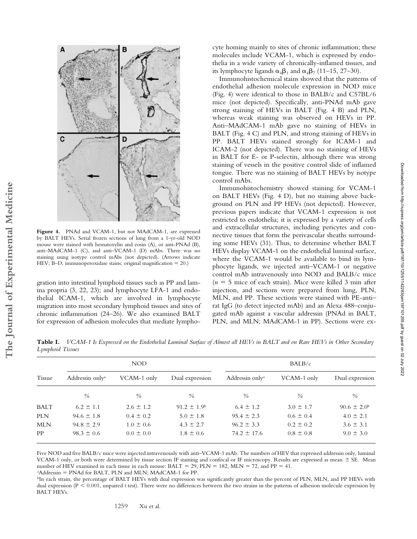

**Figure 4.** PNAd and VCAM-1, but not MAdCAM-1, are expressed by BALT HEVs. Serial frozen sections of lung from a 1-yr-old NOD mouse were stained with hematoxylin and eosin (A), or anti-PNAd (B), anti–MAdCAM-1 (C), and anti–VCAM-1 (D) mAbs. There was no staining using isotype control mAbs (not depicted). (Arrows indicate HEV; B–D, immunoperoxidase stains; original magnification 20.)

**The Journal of Experimental Medicine**

The Journal of Experimental Medicine

gration into intestinal lymphoid tissues such as PP and lamina propria (3, 22, 23); and lymphocyte LFA-1 and endothelial ICAM-1, which are involved in lymphocyte migration into most secondary lymphoid tissues and sites of chronic inflammation (24–26). We also examined BALT for expression of adhesion molecules that mediate lymphocyte homing mainly to sites of chronic inflammation; these molecules include VCAM-1, which is expressed by endothelia in a wide variety of chronically-inflamed tissues, and its lymphocyte ligands  $\alpha_4\beta_1$  and  $\alpha_4\beta_7$  (11–15, 27–30).

Immunohistochemical stains showed that the patterns of endothelial adhesion molecule expression in NOD mice (Fig. 4) were identical to those in BALB/c and C57BL/6 mice (not depicted). Specifically, anti-PNAd mAb gave strong staining of HEVs in BALT (Fig. 4 B) and PLN, whereas weak staining was observed on HEVs in PP. Anti–MAdCAM-1 mAb gave no staining of HEVs in BALT (Fig. 4 C) and PLN, and strong staining of HEVs in PP. BALT HEVs stained strongly for ICAM-1 and ICAM-2 (not depicted). There was no staining of HEVs in BALT for E- or P-selectin, although there was strong staining of vessels in the positive control slide of inflamed tongue. There was no staining of BALT HEVs by isotype control mAbs.

Immunohistochemistry showed staining for VCAM-1 on BALT HEVs (Fig. 4 D), but no staining above background on PLN and PP HEVs (not depicted). However, previous papers indicate that VCAM-1 expression is not restricted to endothelia; it is expressed by a variety of cells and extracellular structures, including pericytes and connective tissues that form the perivascular sheaths surrounding some HEVs (31). Thus, to determine whether BALT HEVs display VCAM-1 on the endothelial luminal surface, where the VCAM-1 would be available to bind its lymphocyte ligands, we injected anti–VCAM-1 or negative control mAb intravenously into NOD and BALB/c mice  $(n = 5$  mice of each strain). Mice were killed 3 min after injection, and sections were prepared from lung, PLN, MLN, and PP. These sections were stained with PE-anti– rat IgG (to detect injected mAb) and an Alexa 488–conjugated mAb against a vascular addressin (PNAd in BALT, PLN, and MLN; MAdCAM-1 in PP). Sections were ex-

**Table I.** *VCAM-1 Is Expressed on the Endothelial Luminal Surface of Almost all HEVs in BALT and on Rare HEVs in Other Secondary Lymphoid Tissues*

|             | NOD                         |               |                        | BALB/c                      |               |                        |
|-------------|-----------------------------|---------------|------------------------|-----------------------------|---------------|------------------------|
| Tissue      | Addressin only <sup>a</sup> | VCAM-1 only   | Dual expression        | Addressin only <sup>a</sup> | VCAM-1 only   | Dual expression        |
|             | $\frac{0}{0}$               | $\frac{0}{0}$ | $\frac{0}{0}$          | $\frac{0}{0}$               | $\frac{0}{0}$ | $\frac{0}{0}$          |
| <b>BALT</b> | $6.2 \pm 1.1$               | $2.6 \pm 1.2$ | $91.2 \pm 1.9^{\circ}$ | $6.4 \pm 1.2$               | $3.0 \pm 1.7$ | $90.6 \pm 2.0^{\rm b}$ |
| <b>PLN</b>  | $94.6 \pm 1.8$              | $0.4 \pm 0.2$ | $5.0 \pm 1.8$          | $95.4 \pm 2.3$              | $0.6 \pm 0.4$ | $4.0 \pm 2.1$          |
| <b>MLN</b>  | $94.8 \pm 2.9$              | $1.0 \pm 0.6$ | $4.3 \pm 2.7$          | $96.2 \pm 3.3$              | $0.2 \pm 0.2$ | $3.6 \pm 3.1$          |
| PP          | $98.3 \pm 0.6$              | $0.0 \pm 0.0$ | $1.8 \pm 0.6$          | $74.2 \pm 17.6$             | $0.8 \pm 0.8$ | $9.0 \pm 3.0$          |

Five NOD and five BALB/c mice were injected intravenously with anti–VCAM-1 mAb. The numbers of HEV that expressed addressin only, luminal VCAM-1 only, or both were determined by tissue section IF staining and confocal or IF microscopy. Results are expressed as mean  $\pm$  SE. Mean number of HEV examined in each tissue in each mouse:  $BALT = 29$ ,  $PLN = 182$ ,  $MLN = 72$ , and  $PP = 41$ .<br><sup>a</sup>Addressin = PNAd for BALT, PLN and MLN: MAdCAM-1 for PP

<sup>a</sup>Addressin = PNAd for BALT, PLN and MLN; MAdCAM-1 for PP.

<sup>b</sup>In each strain, the percentage of BALT HEVs with dual expression was significantly greater than the percent of PLN, MLN, and PP HEVs with dual expression (P < 0.001, unpaired *t* test). There were no differences between the two strains in the patterns of adhesion molecule expression by BALT HEVs.

1259 Xu et al.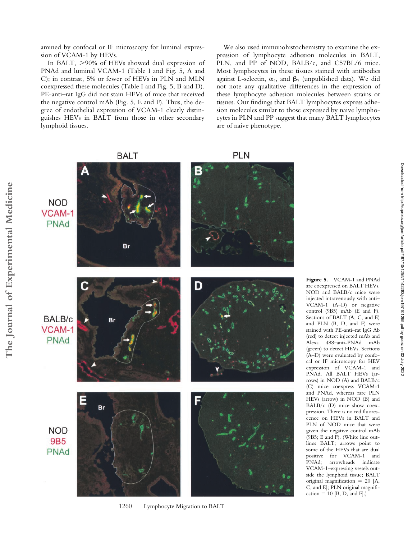amined by confocal or IF microscopy for luminal expression of VCAM-1 by HEVs.

In BALT,  $>90\%$  of HEVs showed dual expression of PNAd and luminal VCAM-1 (Table I and Fig. 5, A and C); in contrast, 5% or fewer of HEVs in PLN and MLN coexpressed these molecules (Table I and Fig. 5, B and D). PE-anti–rat IgG did not stain HEVs of mice that received the negative control mAb (Fig. 5, E and F). Thus, the degree of endothelial expression of VCAM-1 clearly distinguishes HEVs in BALT from those in other secondary lymphoid tissues.

We also used immunohistochemistry to examine the expression of lymphocyte adhesion molecules in BALT, PLN, and PP of NOD, BALB/c, and C57BL/6 mice. Most lymphocytes in these tissues stained with antibodies against L-selectin,  $\alpha_4$ , and  $\beta_7$  (unpublished data). We did not note any qualitative differences in the expression of these lymphocyte adhesion molecules between strains or tissues. Our findings that BALT lymphocytes express adhesion molecules similar to those expressed by naive lymphocytes in PLN and PP suggest that many BALT lymphocytes are of naive phenotype.



**Figure 5.** VCAM-1 and PNAd are coexpressed on BALT HEVs. NOD and BALB/c mice were injected intravenously with anti– VCAM-1 (A–D) or negative control (9B5) mAb (E and F). Sections of BALT (A, C, and E) and PLN (B, D, and F) were stained with PE-anti–rat IgG Ab (red) to detect injected mAb and Alexa 488–anti-PNAd mAb (green) to detect HEVs. Sections (A–D) were evaluated by confocal or IF microscopy for HEV expression of VCAM-1 and PNAd. All BALT HEVs (arrows) in NOD (A) and BALB/c (C) mice coexpress VCAM-1 and PNAd, whereas rare PLN HEVs (arrow) in NOD (B) and BALB/c (D) mice show coexpression. There is no red fluorescence on HEVs in BALT and PLN of NOD mice that were given the negative control mAb (9B5; E and F). (White line outlines BALT; arrows point to some of the HEVs that are dual positive for VCAM-1 and PNAd; arrowheads indicate VCAM-1–expressing vessels outside the lymphoid tissue; BALT original magnification 20 [A, C, and E]; PLN original magnifi- $\text{cation} = 10$  [B, D, and F].)

Downloaded from http://rupress.org/jem/article-pdf/197/10/1255/1142283/jem197101255.pdf by guest on 02 July 2022

Downloaded from http://rupress.org/jenr/article-pdf/197/10/1255/1142283/jem197101255.pdf by guest on 02 July 2022

1260 Lymphocyte Migration to BALT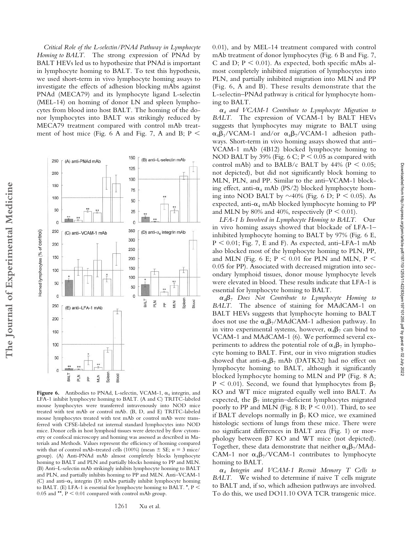Downloaded from http://rupress.org/jem/article-pdf/197/10/1255/1142283/jem197101255.pdf by guest on 02 July 2022 Downloaded from http://rupress.org/jem/article-pdf/197/10/1255/1142283/jem197101255.pdf by guest on 02 July 2022

*Critical Role of the L-selectin/PNAd Pathway in Lymphocyte Homing to BALT.* The strong expression of PNAd by BALT HEVs led us to hypothesize that PNAd is important in lymphocyte homing to BALT. To test this hypothesis, we used short-term in vivo lymphocyte homing assays to investigate the effects of adhesion blocking mAbs against PNAd (MECA79) and its lymphocyte ligand L-selectin (MEL-14) on homing of donor LN and spleen lymphocytes from blood into host BALT. The homing of the donor lymphocytes into BALT was strikingly reduced by MECA79 treatment compared with control mAb treatment of host mice (Fig. 6 A and Fig. 7, A and B;  $P \le$ 

250

200

150

100

50

 $\Omega$ 

250

200

150

100

50

 $\Omega$ 

250

200 150

Homed lymphocytes (% of control)

The Journal of Experimental Medicine

(A) anti-PNAd mAb

(C) anti-VCAM-1 mAb

(E) anti-LFA-1 mAb

150

125

100

75

50

25

0

350

300

250

200 150

100

50  $\theta$ 

> **BALT** 즐  $\frac{\rho}{\rho}$

(B) anti-L-selectin mAb

(D) anti-co integrin mAb

MLN Spleer Blood

ı



 $0.05$  and \*\*,  $\mathrm{P} \leq 0.01$  compared with control mAb group.

1261 Xu et al.

0.01), and by MEL-14 treatment compared with control mAb treatment of donor lymphocytes (Fig. 6 B and Fig. 7, C and D;  $P \le 0.01$ ). As expected, both specific mAbs almost completely inhibited migration of lymphocytes into PLN, and partially inhibited migration into MLN and PP (Fig. 6, A and B). These results demonstrate that the L-selectin–PNAd pathway is critical for lymphocyte homing to BALT.

 $\alpha_4$  and VCAM-1 Contribute to Lymphocyte Migration to *BALT.* The expression of VCAM-1 by BALT HEVs suggests that lymphocytes may migrate to BALT using  $\alpha_4\beta_1$ /VCAM-1 and/or  $\alpha_4\beta_7$ /VCAM-1 adhesion pathways. Short-term in vivo homing assays showed that anti– VCAM-1 mAb (4B12) blocked lymphocyte homing to NOD BALT by 39% (Fig.  $6 \text{ C}$ ;  $P < 0.05$  as compared with control mAb) and to BALB/c BALT by 44% ( $P < 0.05$ ; not depicted), but did not significantly block homing to MLN, PLN, and PP. Similar to the anti–VCAM-1 blocking effect, anti- $\alpha_4$  mAb (PS/2) blocked lymphocyte homing into NOD BALT by  $\sim$ 40% (Fig. 6 D; P < 0.05). As expected, anti- $\alpha_4$  mAb blocked lymphocyte homing to PP and MLN by 80% and 40%, respectively ( $P \le 0.01$ ).

*LFA-1 Is Involved in Lymphocyte Homing to BALT.* Our in vivo homing assays showed that blockade of LFA-1– inhibited lymphocyte homing to BALT by 97% (Fig. 6 E,  $P < 0.01$ ; Fig. 7, E and F). As expected, anti-LFA-1 mAb also blocked most of the lymphocyte homing to PLN, PP, and MLN (Fig. 6 E;  $P < 0.01$  for PLN and MLN,  $P <$ 0.05 for PP). Associated with decreased migration into secondary lymphoid tissues, donor mouse lymphocyte levels were elevated in blood. These results indicate that LFA-1 is essential for lymphocyte homing to BALT.

-*<sup>4</sup>7 Does Not Contribute to Lymphocyte Homing to BALT.* The absence of staining for MAdCAM-1 on BALT HEVs suggests that lymphocyte homing to BALT does not use the  $\alpha_4\beta_7/M$ AdCAM-1 adhesion pathway. In in vitro experimental systems, however,  $\alpha_4\beta_7$  can bind to VCAM-1 and MAdCAM-1 (6). We performed several experiments to address the potential role of  $\alpha_4\beta_7$  in lymphocyte homing to BALT. First, our in vivo migration studies showed that anti- $\alpha_4\beta_7$  mAb (DATK32) had no effect on lymphocyte homing to BALT, although it significantly blocked lymphocyte homing to MLN and PP (Fig. 8 A;  $P < 0.01$ ). Second, we found that lymphocytes from  $\beta_7$ KO and WT mice migrated equally well into BALT. As expected, the  $\beta_7$  integrin–deficient lymphocytes migrated poorly to PP and MLN (Fig. 8 B;  $P \le 0.01$ ). Third, to see if BALT develops normally in  $\beta$ <sup>7</sup> KO mice, we examined histologic sections of lungs from these mice. There were no significant differences in BALT area (Fig. 1) or morphology between  $\beta$ 7 KO and WT mice (not depicted). Together, these data demonstrate that neither  $\alpha_4 \beta_7/\text{MAd}$ -CAM-1 nor  $\alpha_4\beta_7/VCAM-1$  contributes to lymphocyte homing to BALT.

-*4 Integrin and VCAM-1 Recruit Memory T Cells to BALT.* We wished to determine if naive T cells migrate to BALT and, if so, which adhesion pathways are involved. To do this, we used DO11.10 OVA TCR transgenic mice.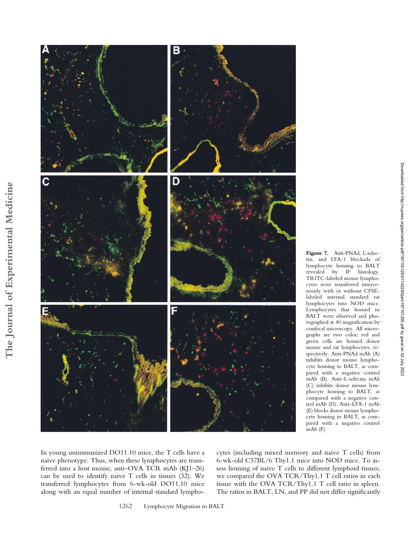

**Figure 7.** Anti-PNAd, L-selectin, and LFA-1 blockade of lymphocyte homing to BALT revealed by IF histology. TRITC-labeled mouse lymphocytes were transferred intravenously with or without CFSElabeled internal standard rat lymphocytes into NOD mice. Lymphocytes that homed to BALT were observed and photographed at 40 magnification by confocal microscopy. All micrographs are two color; red and green cells are homed donor mouse and rat lymphocytes, respectively. Anti-PNAd mAb (A) inhibits donor mouse lymphocyte homing to BALT, as compared with a negative control mAb (B). Anti–L-selectin mAb (C) inhibits donor mouse lymphocyte homing to BALT, as compared with a negative control mAb (D). Anti–LFA-1 mAb (E) blocks donor mouse lymphocyte homing to BALT, as compared with a negative control mAb (F).

Downloaded from http:///rupress.org/jem/article-pdf/197/10/1255/1142283/jem197101255.pdf by guest on 02 July 2022 Downloaded from http://rupress.org/jem/article-pdf/197/10/1255/1142283/jem197101255.pdf by guest on 02 July 2022

In young unimmunized DO11.10 mice, the T cells have a naive phenotype. Thus, when these lymphocytes are transferred into a host mouse, anti–OVA TCR mAb (KJ1–26) can be used to identify naive T cells in tissues (32). We transferred lymphocytes from 6-wk-old DO11.10 mice along with an equal number of internal standard lymphocytes (including mixed memory and naive T cells) from 6-wk-old C57BL/6 Thy1.1 mice into NOD mice. To assess homing of naive T cells to different lymphoid tissues, we compared the OVA TCR/Thy1.1 T cell ratios in each tissue with the OVA TCR/Thy1.1 T cell ratio in spleen. The ratios in BALT, LN, and PP did not differ significantly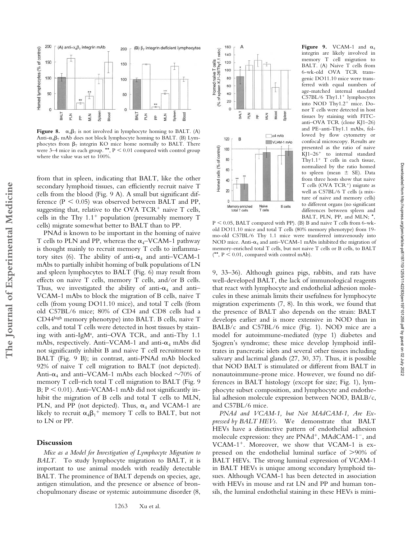

Figure 8.  $\alpha_4\beta_7$  is not involved in lymphocyte homing to BALT. (A) Anti- $\alpha_4\beta_7$  mAb does not block lymphocyte homing to BALT. (B) Lymphocytes from  $\beta_7$  integrin KO mice home normally to BALT. There were  $3-4$  mice in each group. \*\*,  $P < 0.01$  compared with control group where the value was set to 100%.

from that in spleen, indicating that BALT, like the other secondary lymphoid tissues, can efficiently recruit naive T cells from the blood (Fig. 9 A). A small but significant difference ( $P < 0.05$ ) was observed between BALT and PP, suggesting that, relative to the OVA TCR<sup>+</sup> naive T cells, cells in the Thy  $1.1^+$  population (presumably memory T cells) migrate somewhat better to BALT than to PP.

PNAd is known to be important in the homing of naive T cells to PLN and PP, whereas the  $\alpha_4$ -VCAM-1 pathway is thought mainly to recruit memory T cells to inflammatory sites (6). The ability of anti- $\alpha_4$  and anti-VCAM-1 mAbs to partially inhibit homing of bulk populations of LN and spleen lymphocytes to BALT (Fig. 6) may result from effects on naive T cells, memory T cells, and/or B cells. Thus, we investigated the ability of anti- $\alpha_4$  and anti-VCAM-1 mAbs to block the migration of B cells, naive T cells (from young DO11.10 mice), and total T cells (from old C57BL/6 mice; 80% of CD4 and CD8 cells had a CD44high memory phenotype) into BALT. B cells, naive T cells, and total T cells were detected in host tissues by staining with anti-IgM<sup>a</sup>, anti-OVA TCR, and anti-Thy 1.1 mAbs, respectively. Anti–VCAM-1 and anti- $\alpha_4$  mAbs did not significantly inhibit B and naive T cell recruitment to BALT (Fig. 9 B); in contrast, anti-PNAd mAb blocked 92% of naive T cell migration to BALT (not depicted). Anti- $\alpha_4$  and anti–VCAM-1 mAbs each blocked  $\sim$ 70% of memory T cell–rich total T cell migration to BALT (Fig. 9  $B$ ;  $P \le 0.01$ ). Anti-VCAM-1 mAb did not significantly inhibit the migration of B cells and total T cells to MLN, PLN, and PP (not depicted). Thus,  $\alpha_4$  and VCAM-1 are likely to recruit  $\alpha_4\beta_1{}^+$  memory T cells to BALT, but not to LN or PP.

# **Discussion**

*Mice as a Model for Investigation of Lymphocyte Migration to BALT.* To study lymphocyte migration to BALT, it is important to use animal models with readily detectable BALT. The prominence of BALT depends on species, age, antigen stimulation, and the presence or absence of bronchopulmonary disease or systemic autoimmune disorder (8,



**Figure 9.** VCAM-1 and  $\alpha_4$ integrin are likely involved in memory T cell migration to BALT. (A) Naive T cells from 6-wk-old OVA TCR transgenic DO11.10 mice were transferred with equal numbers of age-matched internal standard  $C57BL/6$  Thy $1.1$ <sup>+</sup> lymphocytes into NOD Thy1.2<sup>+</sup> mice. Donor T cells were detected in host tissues by staining with FITCanti–OVA TCR (clone KJ1–26) and PE–anti-Thy1.1 mAbs, followed by flow cytometry or confocal microscopy. Results are presented as the ratio of naive KJ1–26<sup>+</sup> to internal standard Thy $1.1$ <sup>+</sup> T cells in each tissue, normalized by the ratio homed to spleen (mean  $\pm$  SE). Data from three hosts show that naive T cells (OVA TCR<sup>+</sup>) migrate as well as C57BL/6 T cells (a mixture of naive and memory cells) to different organs (no significant differences between spleen and BALT, PLN, PP, and MLN; \*,

Downloaded from http://rupress.org/jem/article-pdf/197/10/1255/1142283/jem197101255.pdf by guest on 02 July 2022

Downloaded from http://rupress.org/jem/article-pdf/197/10/1255/1142283/jem197101255.pdf by guest on 02 July 2022

 $\rm P < 0.05, \rm BALT$  compared with PP). (B) B and naive T cells from 6-wkold DO11.10 mice and total T cells (80% memory phenotype) from 19 mo-old C57BL/6 Thy 1.1 mice were transferred intravenously into NOD mice. Anti- $\alpha_4$  and anti-VCAM-1 mAbs inhibited the migration of memory-enriched total T cells, but not naive T cells or B cells, to BALT  $(*<sup>*</sup>, P < 0.01,$  compared with control mAb).

9, 33–36). Although guinea pigs, rabbits, and rats have well-developed BALT, the lack of immunological reagents that react with lymphocyte and endothelial adhesion molecules in these animals limits their usefulness for lymphocyte migration experiments (7, 8). In this work, we found that the presence of BALT also depends on the strain: BALT develops earlier and is more extensive in NOD than in BALB/c and C57BL/6 mice (Fig. 1). NOD mice are a model for autoimmune-mediated (type 1) diabetes and Sjogren's syndrome; these mice develop lymphoid infiltrates in pancreatic islets and several other tissues including salivary and lacrimal glands (27, 30, 37). Thus, it is possible that NOD BALT is stimulated or different from BALT in nonautoimmune-prone mice. However, we found no differences in BALT histology (except for size; Fig. 1), lymphocyte subset composition, and lymphocyte and endothelial adhesion molecule expression between NOD, BALB/c, and C57BL/6 mice.

*PNAd and VCAM-1, but Not MAdCAM-1, Are Expressed by BALT HEVs.* We demonstrate that BALT HEVs have a distinctive pattern of endothelial adhesion molecule expression: they are PNAd<sup>+</sup>, MAdCAM-1<sup>-</sup>, and VCAM-1<sup>+</sup>. Moreover, we show that VCAM-1 is expressed on the endothelial luminal surface of >90% of BALT HEVs. The strong luminal expression of VCAM-1 in BALT HEVs is unique among secondary lymphoid tissues. Although VCAM-1 has been detected in association with HEVs in mouse and rat LN and PP and human tonsils, the luminal endothelial staining in these HEVs is mini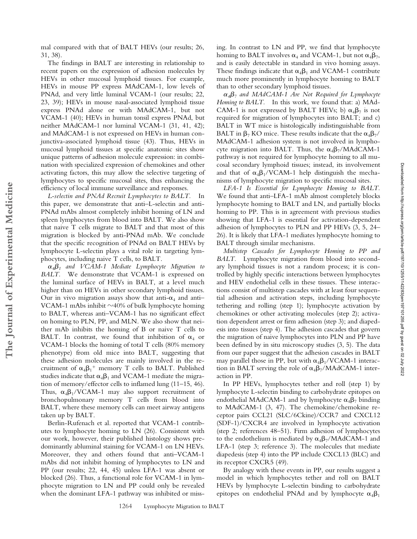mal compared with that of BALT HEVs (our results; 26, 31, 38).

The findings in BALT are interesting in relationship to recent papers on the expression of adhesion molecules by HEVs in other mucosal lymphoid tissues. For example, HEVs in mouse PP express MAdCAM-1, low levels of PNAd, and very little luminal VCAM-1 (our results; 22, 23, 39); HEVs in mouse nasal-associated lymphoid tissue express PNAd alone or with MAdCAM-1, but not VCAM-1 (40); HEVs in human tonsil express PNAd, but neither MAdCAM-1 nor luminal VCAM-1 (31, 41, 42); and MAdCAM-1 is not expressed on HEVs in human conjunctiva-associated lymphoid tissue (43). Thus, HEVs in mucosal lymphoid tissues at specific anatomic sites show unique patterns of adhesion molecule expression: in combination with specialized expression of chemokines and other activating factors, this may allow the selective targeting of lymphocytes to specific mucosal sites, thus enhancing the efficiency of local immune surveillance and responses.

*L-selectin and PNAd Recruit Lymphocytes to BALT.* In this paper, we demonstrate that anti–L-selectin and anti-PNAd mAbs almost completely inhibit homing of LN and spleen lymphocytes from blood into BALT. We also show that naive T cells migrate to BALT and that most of this migration is blocked by anti-PNAd mAb. We conclude that the specific recognition of PNAd on BALT HEVs by lymphocyte L-selectin plays a vital role in targeting lymphocytes, including naive T cells, to BALT.

**The Journal of Experimental Medicine**

The Journal of Experimental Medicine

 $\alpha_4\beta_1$  and VCAM-1 Mediate Lymphocyte Migration to *BALT.* We demonstrate that VCAM-1 is expressed on the luminal surface of HEVs in BALT, at a level much higher than on HEVs in other secondary lymphoid tissues. Our in vivo migration assays show that anti- $\alpha_4$  and anti-VCAM-1 mAbs inhibit  $\sim$ 40% of bulk lymphocyte homing to BALT, whereas anti–VCAM-1 has no significant effect on homing to PLN, PP, and MLN. We also show that neither mAb inhibits the homing of B or naive T cells to BALT. In contrast, we found that inhibition of  $\alpha_4$  or VCAM-1 blocks the homing of total T cells (80% memory phenotype) from old mice into BALT, suggesting that these adhesion molecules are mainly involved in the recruitment of  $\alpha_4\beta_1^+$  memory T cells to BALT. Published studies indicate that  $\alpha_4\beta_1$  and VCAM-1 mediate the migration of memory/effector cells to inflamed lung (11–15, 46). Thus,  $\alpha_4\beta_1/VCAM-1$  may also support recruitment of bronchopulmonary memory T cells from blood into BALT, where these memory cells can meet airway antigens taken up by BALT.

Berlin-Rufenach et al. reported that VCAM-1 contributes to lymphocyte homing to LN (26). Consistent with our work, however, their published histology shows predominantly abluminal staining for VCAM-1 on LN HEVs. Moreover, they and others found that anti–VCAM-1 mAbs did not inhibit homing of lymphocytes to LN and PP (our results; 22, 44, 45) unless LFA-1 was absent or blocked (26). Thus, a functional role for VCAM-1 in lymphocyte migration to LN and PP could only be revealed when the dominant LFA-1 pathway was inhibited or missing. In contrast to LN and PP, we find that lymphocyte homing to BALT involves  $\alpha_4$  and VCAM-1, but not  $\alpha_4\beta_7$ , and is easily detectable in standard in vivo homing assays. These findings indicate that  $\alpha_4\beta_1$  and VCAM-1 contribute much more prominently in lymphocyte homing to BALT than to other secondary lymphoid tissues.

-*<sup>4</sup>7 and MAdCAM-1 Are Not Required for Lymphocyte Homing to BALT.* In this work, we found that: a) MAd-CAM-1 is not expressed by BALT HEVs; b)  $\alpha_4\beta_7$  is not required for migration of lymphocytes into BALT; and c) BALT in WT mice is histologically indistinguishable from BALT in  $\beta_7$  KO mice. These results indicate that the  $\alpha_4\beta_7/$ MAdCAM-1 adhesion system is not involved in lymphocyte migration into BALT. Thus, the  $\alpha_4\beta_7/M$ AdCAM-1 pathway is not required for lymphocyte homing to all mucosal secondary lymphoid tissues; instead, its involvement and that of  $\alpha_4\beta_1/VCAM-1$  help distinguish the mechanisms of lymphocyte migration to specific mucosal sites.

*LFA-1 Is Essential for Lymphocyte Homing to BALT.* We found that anti–LFA-1 mAb almost completely blocks lymphocyte homing to BALT and LN, and partially blocks homing to PP. This is in agreement with previous studies showing that LFA-1 is essential for activation-dependent adhesion of lymphocytes to PLN and PP HEVs (3, 5, 24– 26). It is likely that LFA-1 mediates lymphocyte homing to BALT through similar mechanisms.

*Multistep Cascades for Lymphocyte Homing to PP and BALT.* Lymphocyte migration from blood into secondary lymphoid tissues is not a random process; it is controlled by highly specific interactions between lymphocytes and HEV endothelial cells in these tissues. These interactions consist of multistep cascades with at least four sequential adhesion and activation steps, including lymphocyte tethering and rolling (step 1); lymphocyte activation by chemokines or other activating molecules (step 2); activation dependent arrest or firm adhesion (step 3); and diapedesis into tissues (step 4). The adhesion cascades that govern the migration of naive lymphocytes into PLN and PP have been defined by in situ microscopy studies (3, 5). The data from our paper suggest that the adhesion cascades in BALT may parallel those in PP, but with  $\alpha_4\beta_1/VCAM$ -1 interaction in BALT serving the role of  $\alpha_4\beta_7/M$ AdCAM-1 interaction in PP.

In PP HEVs, lymphocytes tether and roll (step 1) by lymphocyte L-selectin binding to carbohydrate epitopes on endothelial MAdCAM-1 and by lymphocyte  $\alpha_4\beta_7$  binding to MAdCAM-1 (3, 47). The chemokine/chemokine receptor pairs CCL21 (SLC/6Ckine)/CCR7 and CXCL12 (SDF-1)/CXCR4 are involved in lymphocyte activation (step 2; references 48–51). Firm adhesion of lymphocytes to the endothelium is mediated by  $\alpha_4\beta_7/M\text{AdCAM-1}$  and LFA-1 (step 3; reference 3). The molecules that mediate diapedesis (step 4) into the PP include CXCL13 (BLC) and its receptor CXCR5 (49).

By analogy with these events in PP, our results suggest a model in which lymphocytes tether and roll on BALT HEVs by lymphocyte L-selectin binding to carbohydrate epitopes on endothelial PNAd and by lymphocyte  $\alpha_4\beta_1$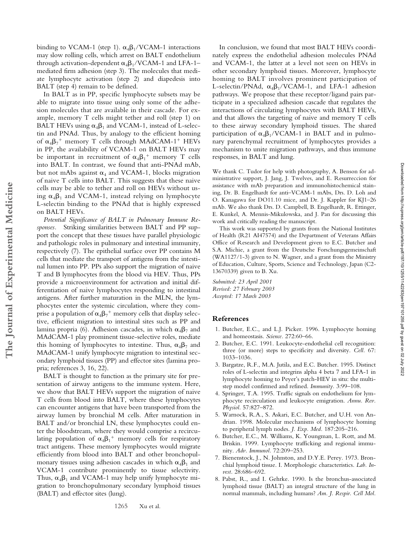binding to VCAM-1 (step 1).  $\alpha_4\beta_1/VCAM-1$  interactions may slow rolling cells, which arrest on BALT endothelium through activation-dependent  $\alpha_4\beta_1/VCAM$ -1 and LFA-1– mediated firm adhesion (step 3). The molecules that mediate lymphocyte activation (step 2) and diapedesis into BALT (step 4) remain to be defined.

In BALT as in PP, specific lymphocyte subsets may be able to migrate into tissue using only some of the adhesion molecules that are available in their cascade. For example, memory T cells might tether and roll (step 1) on BALT HEVs using  $\alpha_4\beta_1$  and VCAM-1, instead of L-selectin and PNAd. Thus, by analogy to the efficient homing of  $\alpha_4\beta_7$ <sup>+</sup> memory T cells through MAdCAM-1<sup>+</sup> HEVs in PP, the availability of VCAM-1 on BALT HEVs may be important in recruitment of  $\alpha_4\beta_1^+$  memory T cells into BALT. In contrast, we found that anti-PNAd mAb, but not mAbs against  $\alpha_4$  and VCAM-1, blocks migration of naive T cells into BALT. This suggests that these naive cells may be able to tether and roll on HEVs without using  $\alpha_4\beta_1$  and VCAM-1, instead relying on lymphocyte L-selectin binding to the PNAd that is highly expressed on BALT HEVs.

*Potential Significance of BALT in Pulmonary Immune Responses.* Striking similarities between BALT and PP support the concept that these tissues have parallel physiologic and pathologic roles in pulmonary and intestinal immunity, respectively (7). The epithelial surface over PP contains M cells that mediate the transport of antigens from the intestinal lumen into PP. PPs also support the migration of naive T and B lymphocytes from the blood via HEV. Thus, PPs provide a microenvironment for activation and initial differentiation of naive lymphocytes responding to intestinal antigens. After further maturation in the MLN, the lymphocytes enter the systemic circulation, where they comprise a population of  $\alpha_4\beta_7{}^+$  memory cells that display selective, efficient migration to intestinal sites such as PP and lamina propria (6). Adhesion cascades, in which  $\alpha_4\beta_7$  and MAdCAM-1 play prominent tissue-selective roles, mediate this homing of lymphocytes to intestine. Thus,  $\alpha_4\beta_7$  and MAdCAM-1 unify lymphocyte migration to intestinal secondary lymphoid tissues (PP) and effector sites (lamina propria; references 3, 16, 22).

**The Journal of Experimental Medicine**

The Journal of Experimental Medicine

BALT is thought to function as the primary site for presentation of airway antigens to the immune system. Here, we show that BALT HEVs support the migration of naive T cells from blood into BALT, where these lymphocytes can encounter antigens that have been transported from the airway lumen by bronchial M cells. After maturation in BALT and/or bronchial LN, these lymphocytes could enter the bloodstream, where they would comprise a recirculating population of  $\alpha_4\beta_1{}^+$  memory cells for respiratory tract antigens. These memory lymphocytes would migrate efficiently from blood into BALT and other bronchopulmonary tissues using adhesion cascades in which  $\alpha_4\beta_1$  and VCAM-1 contribute prominently to tissue selectivity. Thus,  $\alpha_4\beta_1$  and VCAM-1 may help unify lymphocyte migration to bronchopulmonary secondary lymphoid tissues (BALT) and effector sites (lung).

In conclusion, we found that most BALT HEVs coordinately express the endothelial adhesion molecules PNAd and VCAM-1, the latter at a level not seen on HEVs in other secondary lymphoid tissues. Moreover, lymphocyte homing to BALT involves prominent participation of L-selectin/PNAd,  $\alpha_4\beta_1/VCAM-1$ , and LFA-1 adhesion pathways. We propose that these receptor/ligand pairs participate in a specialized adhesion cascade that regulates the interactions of circulating lymphocytes with BALT HEVs, and that allows the targeting of naive and memory T cells to these airway secondary lymphoid tissues. The shared participation of  $\alpha_4\beta_1/VCAM-1$  in BALT and in pulmonary parenchymal recruitment of lymphocytes provides a mechanism to unite migration pathways, and thus immune responses, in BALT and lung.

We thank C. Tudor for help with photography, A. Benson for administrative support, J. Jang, J. Twelves, and E. Resurreccion for assistance with mAb preparation and immunohistochemical staining, Dr. B. Engelhardt for anti–VCAM-1 mAbs, Drs. D. Loh and O. Kanagawa for DO11.10 mice, and Dr. J. Kappler for KJ1–26 mAb. We also thank Drs. D. Campbell, B. Engelhardt, R. Ettinger, E. Kunkel, A. Mennis-Mikulowska, and J. Pan for discussing this work and critically reading the manuscript.

This work was supported by grants from the National Institutes of Health (R21 AI47574) and the Department of Veterans Affairs Office of Research and Development given to E.C. Butcher and S.A. Michie, a grant from the Deutsche Forschungsgemeinschaft (WA1127/1-3) given to N. Wagner, and a grant from the Ministry of Education, Culture, Sports, Science and Technology, Japan (C2- 13670339) given to B. Xu.

*Submitted: 23 April 2001 Revised: 27 February 2003 Accepted: 17 March 2003*

### **References**

- 1. Butcher, E.C., and L.J. Picker. 1996. Lymphocyte homing and homeostasis. *Science.* 272:60–66.
- 2. Butcher, E.C. 1991. Leukocyte-endothelial cell recognition: three (or more) steps to specificity and diversity. *Cell.* 67: 1033–1036.
- 3. Bargatze, R.F., M.A. Jutila, and E.C. Butcher. 1995. Distinct roles of L-selectin and integrins alpha 4 beta 7 and LFA-1 in lymphocyte homing to Peyer's patch-HEV in situ: the multistep model confirmed and refined. *Immunity.* 3:99–108.
- 4. Springer, T.A. 1995. Traffic signals on endothelium for lymphocyte recirculation and leukocyte emigration. *Annu. Rev. Physiol.* 57:827–872.
- 5. Warnock, R.A., S. Askari, E.C. Butcher, and U.H. von Andrian. 1998. Molecular mechanisms of lymphocyte homing to peripheral lymph nodes. *J. Exp. Med.* 187:205–216.
- 6. Butcher, E.C., M. Williams, K. Youngman, L. Rott, and M. Briskin. 1999. Lymphocyte trafficking and regional immunity. *Adv. Immunol.* 72:209–253.
- 7. Bienenstock, J., N. Johnston, and D.Y.E. Perey. 1973. Bronchial lymphoid tissue. I. Morphologic characteristics. *Lab. Invest.* 28:686–692.
- 8. Pabst, R., and I. Gehrke. 1990. Is the bronchus-associated lymphoid tissue (BALT) an integral structure of the lung in normal mammals, including humans? *Am. J. Respir. Cell Mol.*

1265 Xu et al.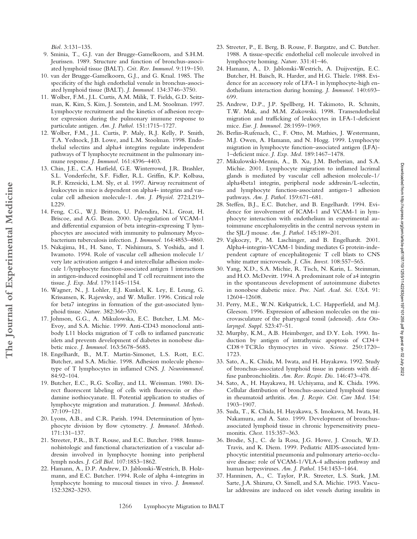*Biol.* 3:131–135.

**The Journal of Experimental Medicine**

The Journal of Experimental Medicine

- 9. Sminia, T., G.J. van der Brugge-Gamelkoorn, and S.H.M. Jeurissen. 1989. Structure and function of bronchus-associated lymphoid tissue (BALT). *Crit. Rev. Immunol.* 9:119–150.
- 10. van der Brugge-Gamelkoorn, G.J., and G. Kraal. 1985. The specificity of the high endothelial venule in bronchus-associated lymphoid tissue (BALT). *J. Immunol.* 134:3746–3750.
- 11. Wolber, F.M., J.L. Curtis, A.M. Milik, T. Fields, G.D. Seitzman, K. Kim, S. Kim, J. Sonstein, and L.M. Stoolman. 1997. Lymphocyte recruitment and the kinetics of adhesion receptor expression during the pulmonary immune response to particulate antigen. *Am. J. Pathol.* 151:1715–1727.
- 12. Wolber, F.M., J.L. Curtis, P. Maly, R.J. Kelly, P. Smith, T.A. Yednock, J.B. Lowe, and L.M. Stoolman. 1998. Endothelial selectins and alpha4 integrins regulate independent pathways of T lymphocyte recruitment in the pulmonary immune response. *J. Immunol.* 161:4396–4403.
- 13. Chin, J.E., C.A. Hatfield, G.E. Winterrowd, J.R. Brashler, S.L. Vonderfecht, S.F. Fidler, R.L. Griffin, K.P. Kolbasa, R.F. Krzesicki, L.M. Sly, et al. 1997. Airway recruitment of leukocytes in mice is dependent on alpha4- integrins and vascular cell adhesion molecule-1. *Am. J. Physiol.* 272:L219– L229.
- 14. Feng, C.G., W.J. Britton, U. Palendira, N.L. Groat, H. Briscoe, and A.G. Bean. 2000. Up-regulation of VCAM-1 and differential expansion of beta integrin-expressing T lymphocytes are associated with immunity to pulmonary Mycobacterium tuberculosis infection. *J. Immunol.* 164:4853–4860.
- 15. Nakajima, H., H. Sano, T. Nishimura, S. Yoshida, and I. Iwamoto. 1994. Role of vascular cell adhesion molecule 1/ very late activation antigen 4 and intercellular adhesion molecule 1/lymphocyte function-associated antigen 1 interactions in antigen-induced eosinophil and T cell recruitment into the tissue. *J. Exp. Med.* 179:1145–1154.
- 16. Wagner, N., J. Lohler, E.J. Kunkel, K. Ley, E. Leung, G. Krissansen, K. Rajewsky, and W. Muller. 1996. Critical role for beta7 integrins in formation of the gut-associated lymphoid tissue. *Nature.* 382:366–370.
- 17. Johnson, G.G., A. Mikulowska, E.C. Butcher, L.M. Mc-Evoy, and S.A. Michie. 1999. Anti-CD43 monoclonal antibody L11 blocks migration of T cells to inflamed pancreatic islets and prevents development of diabetes in nonobese diabetic mice. *J. Immunol.* 163:5678–5685.
- 18. Engelhardt, B., M.T. Martin-Simonet, L.S. Rott, E.C. Butcher, and S.A. Michie. 1998. Adhesion molecule phenotype of T lymphocytes in inflamed CNS. *J. Neuroimmunol.* 84:92–104.
- 19. Butcher, E.C., R.G. Scollay, and I.L. Weissman. 1980. Direct fluorescent labeling of cells with fluorescein or rhodamine isothiocyanate. II. Potential application to studies of lymphocyte migration and maturation. *J. Immunol. Methods.* 37:109–121.
- 20. Lyons, A.B., and C.R. Parish. 1994. Determination of lymphocyte division by flow cytometry. *J. Immunol. Methods.* 171:131–137.
- 21. Streeter, P.R., B.T. Rouse, and E.C. Butcher. 1988. Immunohistologic and functional characterization of a vascular addressin involved in lymphocyte homing into peripheral lymph nodes. *J. Cell Biol.* 107:1853–1862.
- 22. Hamann, A., D.P. Andrew, D. Jablonski-Westrich, B. Holzmann, and E.C. Butcher. 1994. Role of alpha 4-integrins in lymphocyte homing to mucosal tissues in vivo. *J. Immunol.* 152:3282–3293.
- 23. Streeter, P., E. Berg, B. Rouse, F. Bargatze, and C. Butcher. 1988. A tissue-specific endothelial cell molecule involved in lymphocyte homing. *Nature.* 331:41–46.
- 24. Hamann, A., D. Jablonski-Westrich, A. Duijvestijn, E.C. Butcher, H. Baisch, R. Harder, and H.G. Thiele. 1988. Evidence for an accessory role of LFA-1 in lymphocyte-high endothelium interaction during homing. *J. Immunol.* 140:693– 699.
- 25. Andrew, D.P., J.P. Spellberg, H. Takimoto, R. Schmits, T.W. Mak, and M.M. Zukowski. 1998. Transendothelial migration and trafficking of leukocytes in LFA-1-deficient mice. *Eur. J. Immunol.* 28:1959–1969.
- 26. Berlin-Rufenach, C., F. Otto, M. Mathies, J. Westermann, M.J. Owen, A. Hamann, and N. Hogg. 1999. Lymphocyte migration in lymphocyte function–associated antigen (LFA)- 1–deficient mice. *J. Exp. Med.* 189:1467–1478.
- 27. Mikulowski-Mennis, A., B. Xu, J.M. Berberian, and S.A. Michie. 2001. Lymphocyte migration to inflamed lacrimal glands is mediated by vascular cell adhesion molecule-1/ alpha4beta1 integrin, peripheral node addressin/L-selectin, and lymphocyte function-associated antigen-1 adhesion pathways. *Am. J. Pathol.* 159:671–681.
- 28. Steffen, B.J., E.C. Butcher, and B. Engelhardt. 1994. Evidence for involvement of ICAM-1 and VCAM-1 in lymphocyte interaction with endothelium in experimental autoimmune encephalomyelitis in the central nervous system in the SJL/J mouse. *Am. J. Pathol.* 145:189–201.
- 29. Vajkoczy, P., M. Laschinger, and B. Engelhardt. 2001. Alpha4-integrin-VCAM-1 binding mediates G protein-independent capture of encephalitogenic T cell blasts to CNS white matter microvessels. *J. Clin. Invest.* 108:557–565.
- 30. Yang, X.D., S.A. Michie, R. Tisch, N. Karin, L. Steinman, and H.O. McDevitt. 1994. A predominant role of a4 integrin in the spontaneous development of autoimmune diabetes in nonobese diabetic mice. *Proc. Natl. Acad. Sci. USA.* 91: 12604–12608.
- 31. Perry, M.E., W.N. Kirkpatrick, L.C. Happerfield, and M.J. Gleeson. 1996. Expression of adhesion molecules on the microvasculature of the pharyngeal tonsil (adenoid). *Acta Otolaryngol. Suppl.* 523:47–51.
- 32. Murphy, K.M., A.B. Heimberger, and D.Y. Loh. 1990. Induction by antigen of intrathymic apoptosis of CD4 CD8 TCRlo thymocytes in vivo. *Science.* 250:1720– 1723.
- 33. Sato, A., K. Chida, M. Iwata, and H. Hayakawa. 1992. Study of bronchus-associated lymphoid tissue in patients with diffuse panbronchiolitis. *Am. Rev. Respir. Dis.* 146:473–478.
- 34. Sato, A., H. Hayakawa, H. Uchiyama, and K. Chida. 1996. Cellular distribution of bronchus-associated lymphoid tissue in rheumatoid arthritis. *Am. J. Respir. Crit. Care Med.* 154: 1903–1907.
- 35. Suda, T., K. Chida, H. Hayakawa, S. Imokawa, M. Iwata, H. Nakamura, and A. Sato. 1999. Development of bronchusassociated lymphoid tissue in chronic hypersensitivity pneumonitis. *Chest.* 115:357–363.
- 36. Brodie, S.J., C. de la Rosa, J.G. Howe, J. Crouch, W.D. Travis, and K. Diem. 1999. Pediatric AIDS-associated lymphocytic interstitial pneumonia and pulmonary arterio-occlusive disease: role of VCAM-1/VLA-4 adhesion pathway and human herpesviruses. *Am. J. Pathol.* 154:1453–1464.
- 37. Hanninen, A., C. Taylor, P.R. Streeter, L.S. Stark, J.M. Sarte, J.A. Shizuru, O. Simell, and S.A. Michie. 1993. Vascular addressins are induced on islet vessels during insulitis in